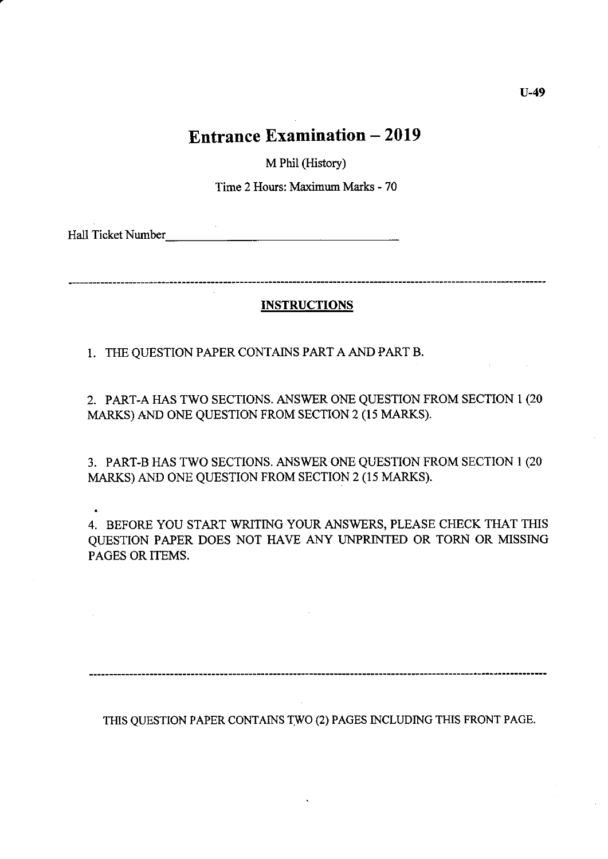M Phil (History)

Time 2 Hours: Maximum Marks - 70

Hall Ticket Number

### INSTRUCTIONS

1. THE QUESTION PAPER CONTAINS PART A AND PART B.

2. PART-A HAS TWO SECTIONS. ANSWER ONE QUESTION FROM SECTION T (20 MARKS) AND ONE QUESTION FROM SECTION 2 (I5 MARKS).

3. PART-B HAS TWO SECTIONS. ANSWER ONE QUESTION FROM SECTION 1 (20 MARKS) AND ONE QUESTION FROM SECTION 2 (15 MARKS).

4. BEFORE YOU START WRITING YOUR ANSWERS, PLEASE CHECK THAT THIS QUESTION PAPER DOES NOT HAVE ANY IJNPRINTED OR TORN OR MISSING PAGES OR ITEMS.

THIS QUESTION PAPER CONTAINS TWO (2) PAGES INCLUDING THIS FRONT PAGE.